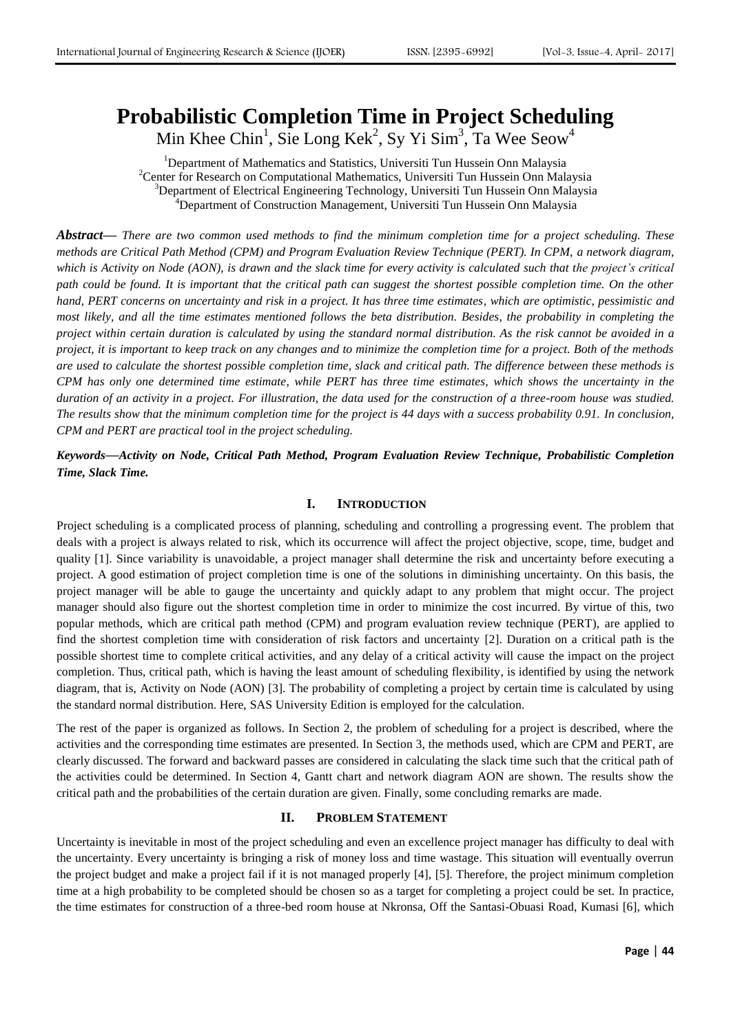# **Probabilistic Completion Time in Project Scheduling**

Min Khee Chin<sup>1</sup>, Sie Long Kek<sup>2</sup>, Sy Yi Sim<sup>3</sup>, Ta Wee Seow<sup>4</sup>

<sup>1</sup>Department of Mathematics and Statistics, Universiti Tun Hussein Onn Malaysia <sup>2</sup>Center for Research on Computational Mathematics, Universiti Tun Hussein Onn Malaysia <sup>3</sup>Department of Electrical Engineering Technology, Universiti Tun Hussein Onn Malaysia <sup>4</sup>Department of Construction Management, Universiti Tun Hussein Onn Malaysia

*Abstract***—** *There are two common used methods to find the minimum completion time for a project scheduling. These methods are Critical Path Method (CPM) and Program Evaluation Review Technique (PERT). In CPM, a network diagram, which is Activity on Node (AON), is drawn and the slack time for every activity is calculated such that the project's critical path could be found. It is important that the critical path can suggest the shortest possible completion time. On the other hand, PERT concerns on uncertainty and risk in a project. It has three time estimates, which are optimistic, pessimistic and most likely, and all the time estimates mentioned follows the beta distribution. Besides, the probability in completing the project within certain duration is calculated by using the standard normal distribution. As the risk cannot be avoided in a project, it is important to keep track on any changes and to minimize the completion time for a project. Both of the methods are used to calculate the shortest possible completion time, slack and critical path. The difference between these methods is CPM has only one determined time estimate, while PERT has three time estimates, which shows the uncertainty in the duration of an activity in a project. For illustration, the data used for the construction of a three-room house was studied. The results show that the minimum completion time for the project is 44 days with a success probability 0.91. In conclusion, CPM and PERT are practical tool in the project scheduling.*

*Keywords***—***Activity on Node, Critical Path Method, Program Evaluation Review Technique, Probabilistic Completion Time, Slack Time.*

# **I. INTRODUCTION**

Project scheduling is a complicated process of planning, scheduling and controlling a progressing event. The problem that deals with a project is always related to risk, which its occurrence will affect the project objective, scope, time, budget and quality [1]. Since variability is unavoidable, a project manager shall determine the risk and uncertainty before executing a project. A good estimation of project completion time is one of the solutions in diminishing uncertainty. On this basis, the project manager will be able to gauge the uncertainty and quickly adapt to any problem that might occur. The project manager should also figure out the shortest completion time in order to minimize the cost incurred. By virtue of this, two popular methods, which are critical path method (CPM) and program evaluation review technique (PERT), are applied to find the shortest completion time with consideration of risk factors and uncertainty [2]. Duration on a critical path is the possible shortest time to complete critical activities, and any delay of a critical activity will cause the impact on the project completion. Thus, critical path, which is having the least amount of scheduling flexibility, is identified by using the network diagram, that is, Activity on Node (AON) [3]. The probability of completing a project by certain time is calculated by using the standard normal distribution. Here, SAS University Edition is employed for the calculation.

The rest of the paper is organized as follows. In Section 2, the problem of scheduling for a project is described, where the activities and the corresponding time estimates are presented. In Section 3, the methods used, which are CPM and PERT, are clearly discussed. The forward and backward passes are considered in calculating the slack time such that the critical path of the activities could be determined. In Section 4, Gantt chart and network diagram AON are shown. The results show the critical path and the probabilities of the certain duration are given. Finally, some concluding remarks are made.

## **II. PROBLEM STATEMENT**

Uncertainty is inevitable in most of the project scheduling and even an excellence project manager has difficulty to deal with the uncertainty. Every uncertainty is bringing a risk of money loss and time wastage. This situation will eventually overrun the project budget and make a project fail if it is not managed properly [4], [5]. Therefore, the project minimum completion time at a high probability to be completed should be chosen so as a target for completing a project could be set. In practice, the time estimates for construction of a three-bed room house at Nkronsa, Off the Santasi-Obuasi Road, Kumasi [6], which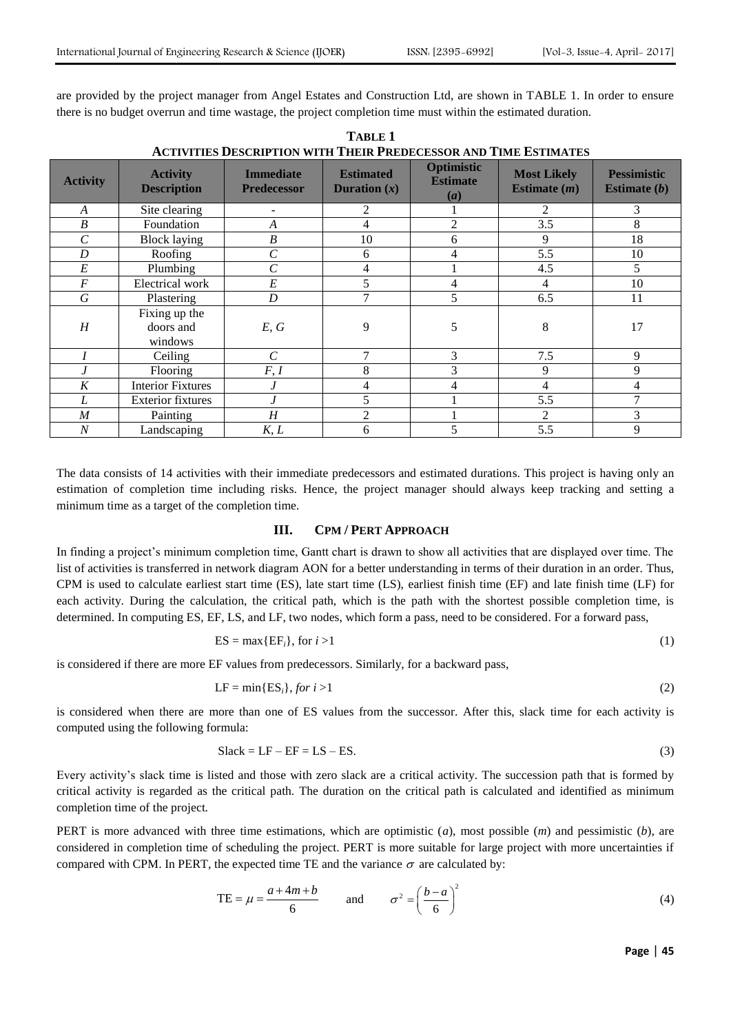are provided by the project manager from Angel Estates and Construction Ltd, are shown in TABLE 1. In order to ensure there is no budget overrun and time wastage, the project completion time must within the estimated duration.

| ACTIVITIES DESCRIPTION WITH THEIR PREDECESSOR AND TIME ESTIMATES |                                       |                                        |                                           |                                      |                                      |                                      |
|------------------------------------------------------------------|---------------------------------------|----------------------------------------|-------------------------------------------|--------------------------------------|--------------------------------------|--------------------------------------|
| <b>Activity</b>                                                  | <b>Activity</b><br><b>Description</b> | <b>Immediate</b><br><b>Predecessor</b> | <b>Estimated</b><br><b>Duration</b> $(x)$ | Optimistic<br><b>Estimate</b><br>(a) | <b>Most Likely</b><br>Estimate $(m)$ | <b>Pessimistic</b><br>Estimate $(b)$ |
| $\boldsymbol{A}$                                                 | Site clearing                         |                                        | 2                                         |                                      | $\mathfrak{D}$                       | 3                                    |
| B                                                                | Foundation                            | $\boldsymbol{A}$                       | 4                                         | 2                                    | 3.5                                  | 8                                    |
| Ċ                                                                | <b>Block laying</b>                   | $\boldsymbol{B}$                       | 10                                        | 6                                    | 9                                    | 18                                   |
| D                                                                | Roofing                               | $\cal C$                               | 6                                         | 4                                    | 5.5                                  | 10                                   |
| E                                                                | Plumbing                              | $\,$ $\,$                              | 4                                         |                                      | 4.5                                  | 5                                    |
| $\boldsymbol{F}$                                                 | Electrical work                       | E                                      |                                           | 4                                    | 4                                    | 10                                   |
| G                                                                | Plastering                            | D                                      |                                           | 5.                                   | 6.5                                  | 11                                   |
| H                                                                | Fixing up the<br>doors and<br>windows | E, G                                   | 9                                         | 5                                    | 8                                    | 17                                   |
|                                                                  | Ceiling                               | $\mathcal{C}_{0}^{0}$                  |                                           | 3                                    | 7.5                                  | 9                                    |
|                                                                  | Flooring                              | F, I                                   | 8                                         | 3                                    | 9                                    | 9                                    |
| K                                                                | <b>Interior Fixtures</b>              |                                        | 4                                         | 4                                    | 4                                    | 4                                    |
| L                                                                | <b>Exterior fixtures</b>              |                                        | 5                                         |                                      | 5.5                                  | 7                                    |
| $\boldsymbol{M}$                                                 | Painting                              | $\boldsymbol{H}$                       | $\overline{2}$                            |                                      | 2                                    | 3                                    |
| $\cal N$                                                         | Landscaping                           | K, L                                   | 6                                         | 5                                    | 5.5                                  | 9                                    |

**TABLE 1 ACTIVITIES DESCRIPTION WITH THEIR PREDECESSOR AND TIME ESTIMATES**

The data consists of 14 activities with their immediate predecessors and estimated durations. This project is having only an estimation of completion time including risks. Hence, the project manager should always keep tracking and setting a minimum time as a target of the completion time.

## **III. CPM / PERT APPROACH**

In finding a project's minimum completion time, Gantt chart is drawn to show all activities that are displayed over time. The list of activities is transferred in network diagram AON for a better understanding in terms of their duration in an order. Thus, CPM is used to calculate earliest start time (ES), late start time (LS), earliest finish time (EF) and late finish time (LF) for each activity. During the calculation, the critical path, which is the path with the shortest possible completion time, is determined. In computing ES, EF, LS, and LF, two nodes, which form a pass, need to be considered. For a forward pass,

$$
ES = \max\{EF_i\}, \text{ for } i > 1\tag{1}
$$

is considered if there are more EF values from predecessors. Similarly, for a backward pass,

$$
LF = min\{ES_i\}, for\ i > 1\tag{2}
$$

is considered when there are more than one of ES values from the successor. After this, slack time for each activity is computed using the following formula:

$$
Slack = LF - EF = LS - ES.
$$
\n(3)

Every activity's slack time is listed and those with zero slack are a critical activity. The succession path that is formed by critical activity is regarded as the critical path. The duration on the critical path is calculated and identified as minimum completion time of the project.

PERT is more advanced with three time estimations, which are optimistic (*a*), most possible (*m*) and pessimistic (*b*), are considered in completion time of scheduling the project. PERT is more suitable for large project with more uncertainties if compared with CPM. In PERT, the expected time TE and the variance  $\sigma$  are calculated by:

$$
TE = \mu = \frac{a + 4m + b}{6} \quad \text{and} \quad \sigma^2 = \left(\frac{b - a}{6}\right)^2 \tag{4}
$$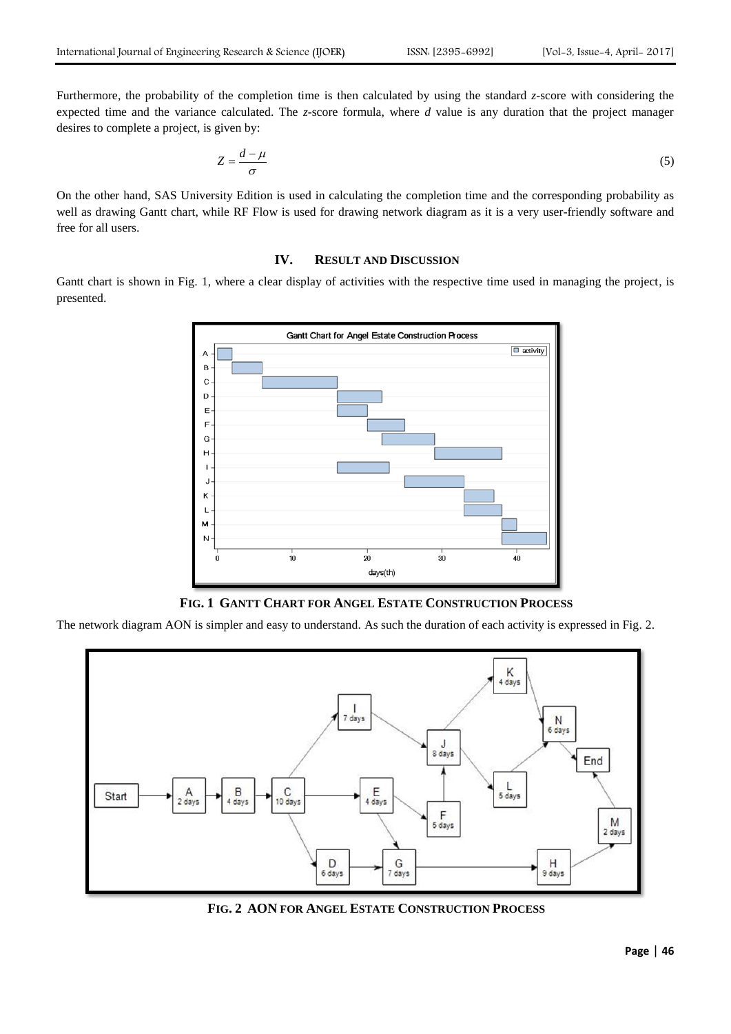Furthermore, the probability of the completion time is then calculated by using the standard *z*-score with considering the expected time and the variance calculated. The *z*-score formula, where *d* value is any duration that the project manager desires to complete a project, is given by:

$$
Z = \frac{d - \mu}{\sigma} \tag{5}
$$

On the other hand, SAS University Edition is used in calculating the completion time and the corresponding probability as well as drawing Gantt chart, while RF Flow is used for drawing network diagram as it is a very user-friendly software and free for all users.

# **IV. RESULT AND DISCUSSION**

Gantt chart is shown in Fig. 1, where a clear display of activities with the respective time used in managing the project, is presented.



**FIG. 1 GANTT CHART FOR ANGEL ESTATE CONSTRUCTION PROCESS**

The network diagram AON is simpler and easy to understand. As such the duration of each activity is expressed in Fig. 2.



**FIG. 2 AON FOR ANGEL ESTATE CONSTRUCTION PROCESS**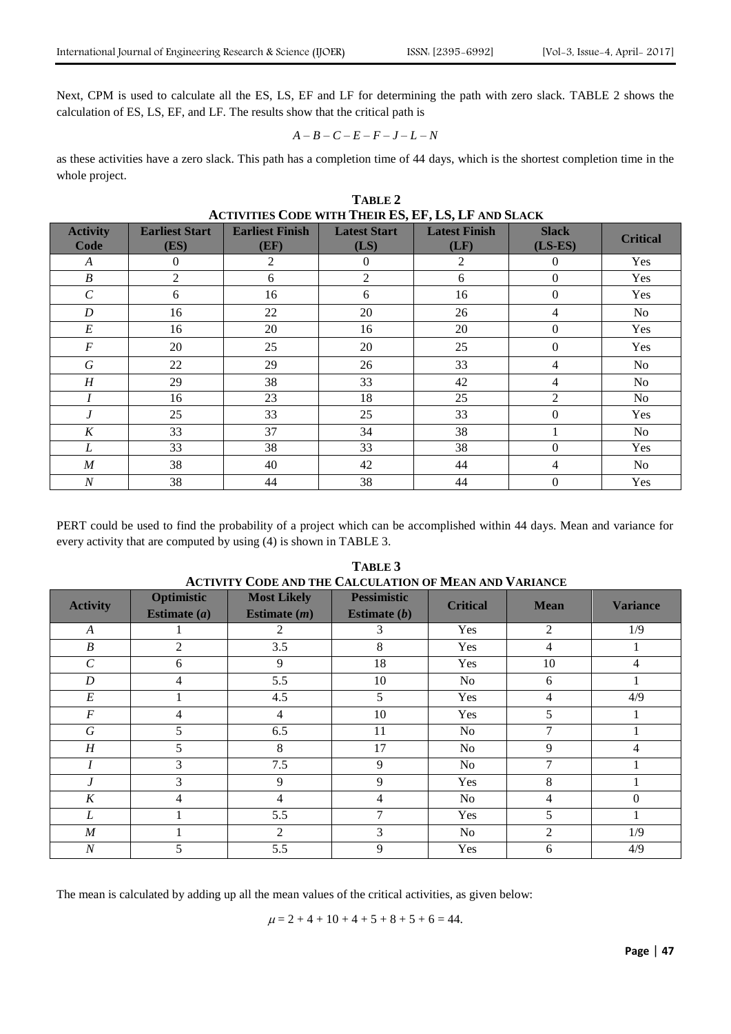Next, CPM is used to calculate all the ES, LS, EF and LF for determining the path with zero slack. TABLE 2 shows the calculation of ES, LS, EF, and LF. The results show that the critical path is

$$
A-B-C-E-F-J-L-N\\
$$

as these activities have a zero slack. This path has a completion time of 44 days, which is the shortest completion time in the whole project.

| TABLE 2                        |                               |                                                            |                             |                              |                           |                 |
|--------------------------------|-------------------------------|------------------------------------------------------------|-----------------------------|------------------------------|---------------------------|-----------------|
|                                |                               | <b>ACTIVITIES CODE WITH THEIR ES, EF, LS, LF AND SLACK</b> |                             |                              |                           |                 |
| <b>Activity</b><br><b>Code</b> | <b>Earliest Start</b><br>(ES) | <b>Earliest Finish</b><br>(EF)                             | <b>Latest Start</b><br>(LS) | <b>Latest Finish</b><br>(LF) | <b>Slack</b><br>$(LS-ES)$ | <b>Critical</b> |
| A                              | $\boldsymbol{0}$              | 2                                                          | $\overline{0}$              | $\overline{2}$               | $\overline{0}$            | Yes             |
| $\boldsymbol{B}$               | $\overline{2}$                | 6                                                          | $\overline{c}$              | 6                            | $\boldsymbol{0}$          | Yes             |
| $\mathcal{C}$                  | 6                             | 16                                                         | 6                           | 16                           | $\Omega$                  | Yes             |
| $\boldsymbol{D}$               | 16                            | 22                                                         | 20                          | 26                           | 4                         | N <sub>0</sub>  |
| $E\,$                          | 16                            | 20                                                         | 16                          | 20                           | $\Omega$                  | Yes             |
| $\cal F$                       | 20                            | 25                                                         | 20                          | 25                           | $\mathbf{0}$              | Yes             |
| G                              | 22                            | 29                                                         | 26                          | 33                           | 4                         | No              |
| H                              | 29                            | 38                                                         | 33                          | 42                           | 4                         | N <sub>o</sub>  |
|                                | 16                            | 23                                                         | 18                          | 25                           | 2                         | No              |
| $\boldsymbol{J}$               | 25                            | 33                                                         | 25                          | 33                           | $\Omega$                  | Yes             |
| K                              | 33                            | 37                                                         | 34                          | 38                           |                           | No              |
| L                              | 33                            | 38                                                         | 33                          | 38                           | $\Omega$                  | Yes             |
| $\boldsymbol{M}$               | 38                            | 40                                                         | 42                          | 44                           | 4                         | N <sub>o</sub>  |
| $\boldsymbol{N}$               | 38                            | 44                                                         | 38                          | 44                           | $\overline{0}$            | Yes             |

PERT could be used to find the probability of a project which can be accomplished within 44 days. Mean and variance for every activity that are computed by using (4) is shown in TABLE 3.

| <b>ACTIVITY CODE AND THE CALCULATION OF MEAN AND VARIANCE</b> |                              |                                      |                                      |                 |                |                 |
|---------------------------------------------------------------|------------------------------|--------------------------------------|--------------------------------------|-----------------|----------------|-----------------|
| <b>Activity</b>                                               | Optimistic<br>Estimate $(a)$ | <b>Most Likely</b><br>Estimate $(m)$ | <b>Pessimistic</b><br>Estimate $(b)$ | <b>Critical</b> | <b>Mean</b>    | <b>Variance</b> |
| $\boldsymbol{A}$                                              |                              | $\mathcal{L}$                        | 3                                    | Yes             | $\mathfrak{D}$ | 1/9             |
| $\boldsymbol{B}$                                              | 2                            | 3.5                                  | 8                                    | Yes             |                |                 |
| $\mathcal{C}_{0}^{0}$                                         | 6                            | 9                                    | 18                                   | <b>Yes</b>      | 10             | 4               |
| D                                                             | 4                            | 5.5                                  | 10                                   | No              | 6              |                 |
| E                                                             |                              | 4.5                                  | 5                                    | <b>Yes</b>      | 4              | 4/9             |
| $\boldsymbol{F}$                                              | 4                            | 4                                    | 10                                   | Yes             | 5              |                 |
| G                                                             | 5                            | 6.5                                  | 11                                   | No              |                |                 |
| H                                                             | 5                            | 8                                    | 17                                   | No              | 9              | 4               |
|                                                               | 3                            | 7.5                                  | 9                                    | N <sub>0</sub>  |                |                 |
|                                                               | 3                            | 9                                    | 9                                    | Yes             | 8              |                 |
| K                                                             | 4                            | 4                                    | 4                                    | No.             | 4              | 0               |
| L                                                             |                              | 5.5                                  |                                      | Yes             | 5              |                 |
| $\boldsymbol{M}$                                              |                              | $\mathfrak{D}$                       | 3                                    | N <sub>0</sub>  | $\mathfrak{D}$ | 1/9             |
| $\overline{N}$                                                |                              | 5.5                                  | 9                                    | Yes             | 6              | 4/9             |

**TABLE 3**

The mean is calculated by adding up all the mean values of the critical activities, as given below:

 $\mu = 2 + 4 + 10 + 4 + 5 + 8 + 5 + 6 = 44.$